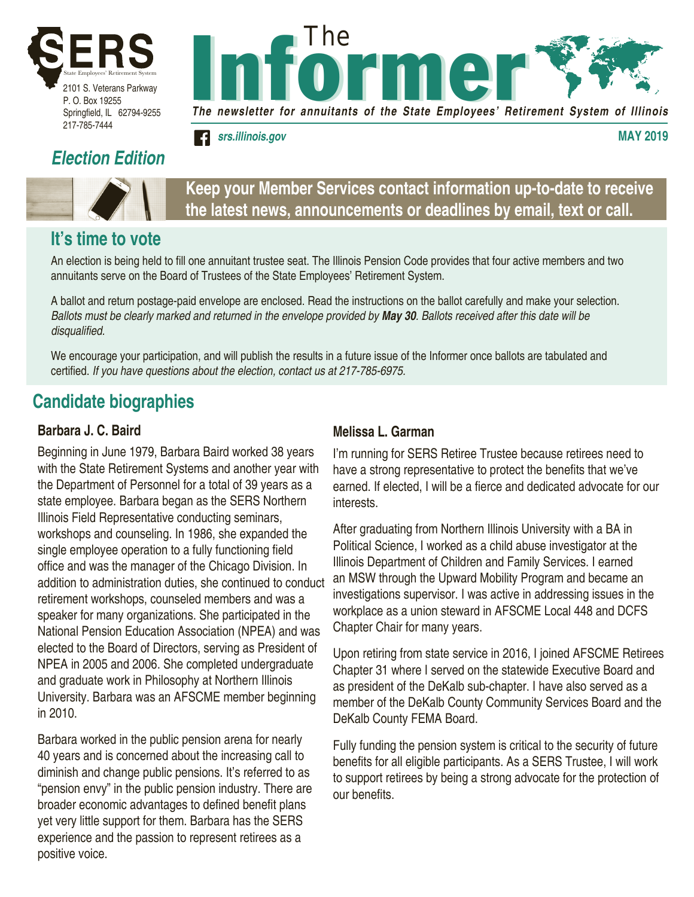

P. O. Box 19255 Springfield, IL 62794-9255 217-785-7444

## *Election Edition*



**It's time to vote**

### **Keep your Member Services contact information up-to-date to receive the latest news, announcements or deadlines by email, text or call.**

*The newsletter for annuitants of the State Employees' Retirement System of Illinois*

*srs.illinois.gov* **MAY 2019**

Informer Informer *The*

#### An election is being held to fill one annuitant trustee seat. The Illinois Pension Code provides that four active members and two annuitants serve on the Board of Trustees of the State Employees' Retirement System.

A ballot and return postage-paid envelope are enclosed. Read the instructions on the ballot carefully and make your selection. *Ballots must be clearly marked and returned in the envelope provided by May 30. Ballots received after this date will be*  disqualified.

We encourage your participation, and will publish the results in a future issue of the Informer once ballots are tabulated and certified. *If you have questions about the election, contact us at 217-785-6975.*

## **Candidate biographies**

#### **Barbara J. C. Baird**

Beginning in June 1979, Barbara Baird worked 38 years with the State Retirement Systems and another year with the Department of Personnel for a total of 39 years as a state employee. Barbara began as the SERS Northern Illinois Field Representative conducting seminars, workshops and counseling. In 1986, she expanded the single employee operation to a fully functioning field office and was the manager of the Chicago Division. In addition to administration duties, she continued to conduct retirement workshops, counseled members and was a speaker for many organizations. She participated in the National Pension Education Association (NPEA) and was elected to the Board of Directors, serving as President of NPEA in 2005 and 2006. She completed undergraduate and graduate work in Philosophy at Northern Illinois University. Barbara was an AFSCME member beginning in 2010.

Barbara worked in the public pension arena for nearly 40 years and is concerned about the increasing call to diminish and change public pensions. It's referred to as "pension envy" in the public pension industry. There are broader economic advantages to defined benefit plans yet very little support for them. Barbara has the SERS experience and the passion to represent retirees as a positive voice.

#### **Melissa L. Garman**

I'm running for SERS Retiree Trustee because retirees need to have a strong representative to protect the benefits that we've earned. If elected, I will be a fierce and dedicated advocate for our interests.

After graduating from Northern Illinois University with a BA in Political Science, I worked as a child abuse investigator at the Illinois Department of Children and Family Services. I earned an MSW through the Upward Mobility Program and became an investigations supervisor. I was active in addressing issues in the workplace as a union steward in AFSCME Local 448 and DCFS Chapter Chair for many years.

Upon retiring from state service in 2016, I joined AFSCME Retirees Chapter 31 where I served on the statewide Executive Board and as president of the DeKalb sub-chapter. I have also served as a member of the DeKalb County Community Services Board and the DeKalb County FEMA Board.

Fully funding the pension system is critical to the security of future benefits for all eligible participants. As a SERS Trustee, I will work to support retirees by being a strong advocate for the protection of our benefits.